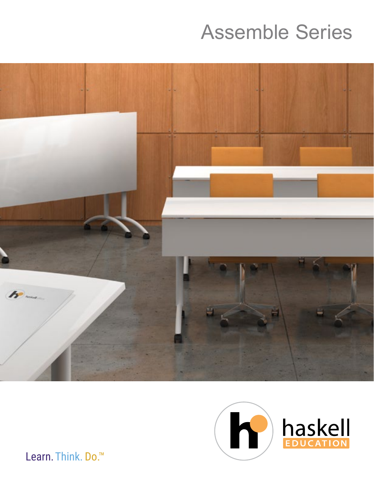# **Assemble Series**





Learn. Think. Do.<sup>™</sup>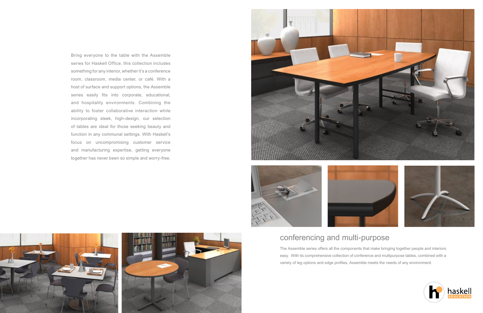## conferencing and multi-purpose

The Assemble series offers all the components that make bringing together people and interiors easy. With its comprehensive collection of conference and multipurpose tables, combined with a variety of leg options and edge profiles, Assemble meets the needs of any environment.









Bring everyone to the table with the Assemble series for Haskell Office, this collection includes something for any interior, whether it's a conference room, classroom, media center, or café. With a host of surface and support options, the Assemble series easily fits into corporate, educational, and hospitality environments. Combining the ability to foster collaborative interaction while incorporating sleek, high-design, our selection of tables are ideal for those seeking beauty and function in any communal settings. With Haskell's focus on uncompromising customer service and manufacturing expertise, getting everyone together has never been so simple and worry-free.